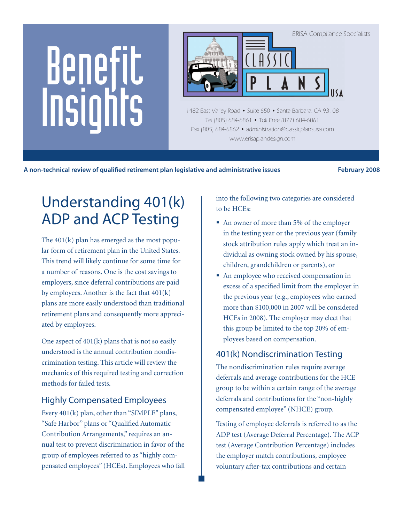# Benefit Insights



1482 East Valley Road • Suite 650 • Santa Barbara, CA 93108 Tel (805) 684-6861 • Toll Free (877) 684-6861 Fax (805) 684-6862 • administration@classicplansusa.com www.erisaplandesign.com

A non-technical review of qualified retirement plan legislative and administrative issues **February 2008** 

# Understanding 401(k) ADP and ACP Testing

The 401(k) plan has emerged as the most popular form of retirement plan in the United States. This trend will likely continue for some time for a number of reasons. One is the cost savings to employers, since deferral contributions are paid by employees. Another is the fact that 401(k) plans are more easily understood than traditional retirement plans and consequently more appreciated by employees.

One aspect of  $401(k)$  plans that is not so easily understood is the annual contribution nondiscrimination testing. This article will review the mechanics of this required testing and correction methods for failed tests.

# Highly Compensated Employees

Every 401(k) plan, other than "SIMPLE" plans, "Safe Harbor" plans or "Qualified Automatic Contribution Arrangements," requires an annual test to prevent discrimination in favor of the group of employees referred to as "highly compensated employees" (HCEs). Employees who fall into the following two categories are considered to be HCEs:

- An owner of more than 5% of the employer in the testing year or the previous year (family stock attribution rules apply which treat an individual as owning stock owned by his spouse, children, grandchildren or parents), or
- An employee who received compensation in excess of a specified limit from the employer in the previous year (e.g., employees who earned more than \$100,000 in 2007 will be considered HCEs in 2008). The employer may elect that this group be limited to the top 20% of employees based on compensation.

# 401(k) Nondiscrimination Testing

The nondiscrimination rules require average deferrals and average contributions for the HCE group to be within a certain range of the average deferrals and contributions for the "non-highly compensated employee" (NHCE) group.

Testing of employee deferrals is referred to as the ADP test (Average Deferral Percentage). The ACP test (Average Contribution Percentage) includes the employer match contributions, employee voluntary after-tax contributions and certain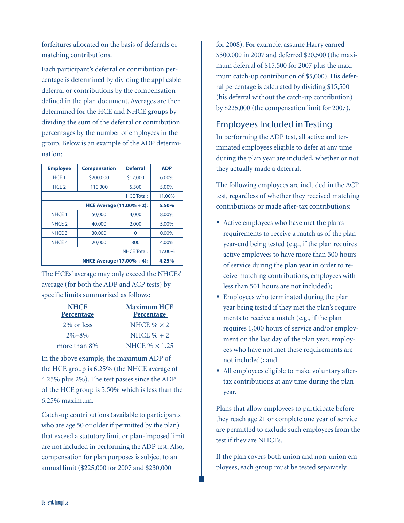forfeitures allocated on the basis of deferrals or matching contributions.

Each participant's deferral or contribution percentage is determined by dividing the applicable deferral or contributions by the compensation defined in the plan document. Averages are then determined for the HCE and NHCE groups by dividing the sum of the deferral or contribution percentages by the number of employees in the group. Below is an example of the ADP determination:

| <b>Employee</b>                                   | <b>Compensation</b> | <b>Deferral</b>    | <b>ADP</b> |
|---------------------------------------------------|---------------------|--------------------|------------|
| HCE <sub>1</sub>                                  | \$200,000           | \$12,000           | $6.00\%$   |
| HCE <sub>2</sub>                                  | 110,000             | 5,500              | 5.00%      |
|                                                   |                     | <b>HCE Total:</b>  | 11.00%     |
| <b>HCE Average (11.00% <math>\div</math> 2):</b>  |                     |                    | 5.50%      |
| NHCE <sub>1</sub>                                 | 50,000              | 4,000              | 8.00%      |
| NHCE <sub>2</sub>                                 | 40,000              | 2,000              | 5.00%      |
| NHCE <sub>3</sub>                                 | 30,000              | 0                  | $0.00\%$   |
| NHCE <sub>4</sub>                                 | 20,000              | 800                | 4.00%      |
|                                                   |                     | <b>NHCE Total:</b> | 17.00%     |
| <b>NHCE Average (17.00% <math>\div</math> 4):</b> |                     |                    | 4.25%      |

The HCEs' average may only exceed the NHCEs' average (for both the ADP and ACP tests) by specific limits summarized as follows:

| <b>NHCE</b><br><b>Percentage</b> | <b>Maximum HCE</b><br><b>Percentage</b> |
|----------------------------------|-----------------------------------------|
| 2\% or less                      | NHCE $% \times 2$                       |
| $2\% - 8\%$                      | NHCE $% + 2$                            |
| more than 8%                     | NHCE $\% \times 1.25$                   |

In the above example, the maximum ADP of the HCE group is 6.25% (the NHCE average of 4.25% plus 2%). The test passes since the ADP of the HCE group is 5.50% which is less than the 6.25% maximum.

Catch-up contributions (available to participants who are age 50 or older if permitted by the plan) that exceed a statutory limit or plan-imposed limit are not included in performing the ADP test. Also, compensation for plan purposes is subject to an annual limit (\$225,000 for 2007 and \$230,000

for 2008). For example, assume Harry earned \$300,000 in 2007 and deferred \$20,500 (the maximum deferral of \$15,500 for 2007 plus the maximum catch-up contribution of \$5,000). His deferral percentage is calculated by dividing \$15,500 (his deferral without the catch-up contribution) by \$225,000 (the compensation limit for 2007).

# Employees Included in Testing

In performing the ADP test, all active and terminated employees eligible to defer at any time during the plan year are included, whether or not they actually made a deferral.

The following employees are included in the ACP test, regardless of whether they received matching contributions or made after-tax contributions:

- Active employees who have met the plan's requirements to receive a match as of the plan year-end being tested (e.g., if the plan requires active employees to have more than 500 hours of service during the plan year in order to receive matching contributions, employees with less than 501 hours are not included);
- **Employees who terminated during the plan** year being tested if they met the plan's requirements to receive a match (e.g., if the plan requires 1,000 hours of service and/or employment on the last day of the plan year, employees who have not met these requirements are not included); and
- All employees eligible to make voluntary aftertax contributions at any time during the plan year.

Plans that allow employees to participate before they reach age 21 or complete one year of service are permitted to exclude such employees from the test if they are NHCEs.

If the plan covers both union and non-union employees, each group must be tested separately.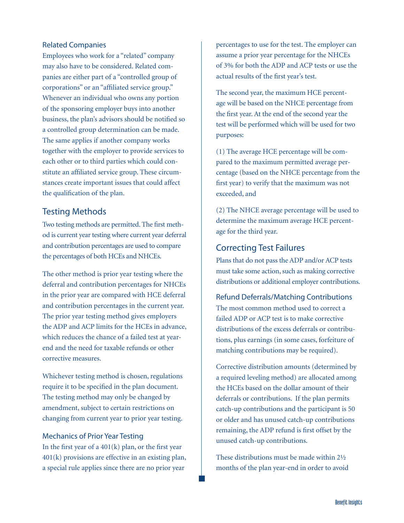#### Related Companies

Employees who work for a "related" company may also have to be considered. Related companies are either part of a "controlled group of corporations" or an "affiliated service group." Whenever an individual who owns any portion of the sponsoring employer buys into another business, the plan's advisors should be notified so a controlled group determination can be made. The same applies if another company works together with the employer to provide services to each other or to third parties which could constitute an affiliated service group. These circumstances create important issues that could affect the qualification of the plan.

# Testing Methods

Two testing methods are permitted. The first method is current year testing where current year deferral and contribution percentages are used to compare the percentages of both HCEs and NHCEs.

The other method is prior year testing where the deferral and contribution percentages for NHCEs in the prior year are compared with HCE deferral and contribution percentages in the current year. The prior year testing method gives employers the ADP and ACP limits for the HCEs in advance, which reduces the chance of a failed test at yearend and the need for taxable refunds or other corrective measures.

Whichever testing method is chosen, regulations require it to be specified in the plan document. The testing method may only be changed by amendment, subject to certain restrictions on changing from current year to prior year testing.

#### Mechanics of Prior Year Testing

In the first year of a  $401(k)$  plan, or the first year 401(k) provisions are effective in an existing plan, a special rule applies since there are no prior year

percentages to use for the test. The employer can assume a prior year percentage for the NHCEs of 3% for both the ADP and ACP tests or use the actual results of the first year's test.

The second year, the maximum HCE percentage will be based on the NHCE percentage from the first year. At the end of the second year the test will be performed which will be used for two purposes:

(1) The average HCE percentage will be compared to the maximum permitted average percentage (based on the NHCE percentage from the first year) to verify that the maximum was not exceeded, and

(2) The NHCE average percentage will be used to determine the maximum average HCE percentage for the third year.

#### Correcting Test Failures

Plans that do not pass the ADP and/or ACP tests must take some action, such as making corrective distributions or additional employer contributions.

Refund Deferrals/Matching Contributions The most common method used to correct a failed ADP or ACP test is to make corrective distributions of the excess deferrals or contributions, plus earnings (in some cases, forfeiture of matching contributions may be required).

Corrective distribution amounts (determined by a required leveling method) are allocated among the HCEs based on the dollar amount of their deferrals or contributions. If the plan permits catch-up contributions and the participant is 50 or older and has unused catch-up contributions remaining, the ADP refund is first offset by the unused catch-up contributions.

These distributions must be made within 2½ months of the plan year-end in order to avoid